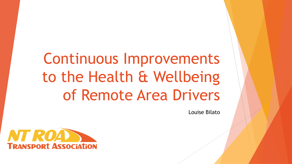# Continuous Improvements to the Health & Wellbeing of Remote Area Drivers

Louise Bilato

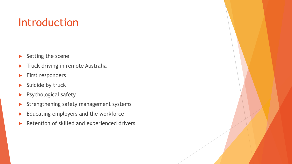#### Introduction

- $\blacktriangleright$  Setting the scene
- Truck driving in remote Australia
- First responders
- $\blacktriangleright$  Suicide by truck
- **Psychological safety**
- Strengthening safety management systems
- Educating employers and the workforce
- Retention of skilled and experienced drivers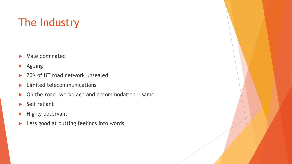### The Industry

- $\blacktriangleright$  Male dominated
- **Ageing**
- ▶ 70% of NT road network unsealed
- Limited telecommunications
- $\triangleright$  On the road, workplace and accommodation = same
- $\blacktriangleright$  Self reliant
- $\blacktriangleright$  Highly observant
- **Less good at putting feelings into words**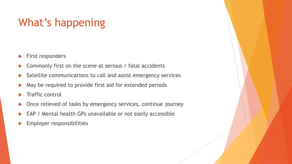#### What's happening

- First responders
- Commonly first on the scene at serious / fatal accidents
- Satellite communications to call and assist emergency services
- May be required to provide first aid for extended periods
- Traffic control
- Once relieved of tasks by emergency services, continue journey
- EAP / Mental health GPs unavailable or not easily accessible
- Employer responsibilities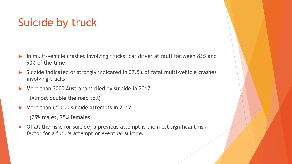#### Suicide by truck

- In multi-vehicle crashes involving trucks, car driver at fault between 83% and 93% of the time.
- Suicide indicated or strongly indicated in 37.5% of fatal multi-vehicle crashes involving trucks.
- More than 3000 Australians died by suicide in 2017

(Almost double the road toll)

More than 65,000 suicide attempts in 2017

(75% males, 25% females)

▶ Of all the risks for suicide, a previous attempt is the most significant risk factor for a future attempt or eventual suicide.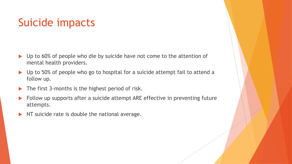#### Suicide impacts

- ▶ Up to 60% of people who die by suicide have not come to the attention of mental health providers.
- ▶ Up to 50% of people who go to hospital for a suicide attempt fail to attend a follow up.
- The first 3-months is the highest period of risk.
- Follow up supports after a suicide attempt ARE effective in preventing future attempts.
- $\triangleright$  NT suicide rate is double the national average.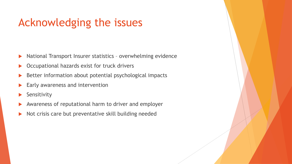#### Acknowledging the issues

- National Transport Insurer statistics overwhelming evidence
- Occupational hazards exist for truck drivers
- Better information about potential psychological impacts
- Early awareness and intervention
- Sensitivity
- Awareness of reputational harm to driver and employer
- Not crisis care but preventative skill building needed